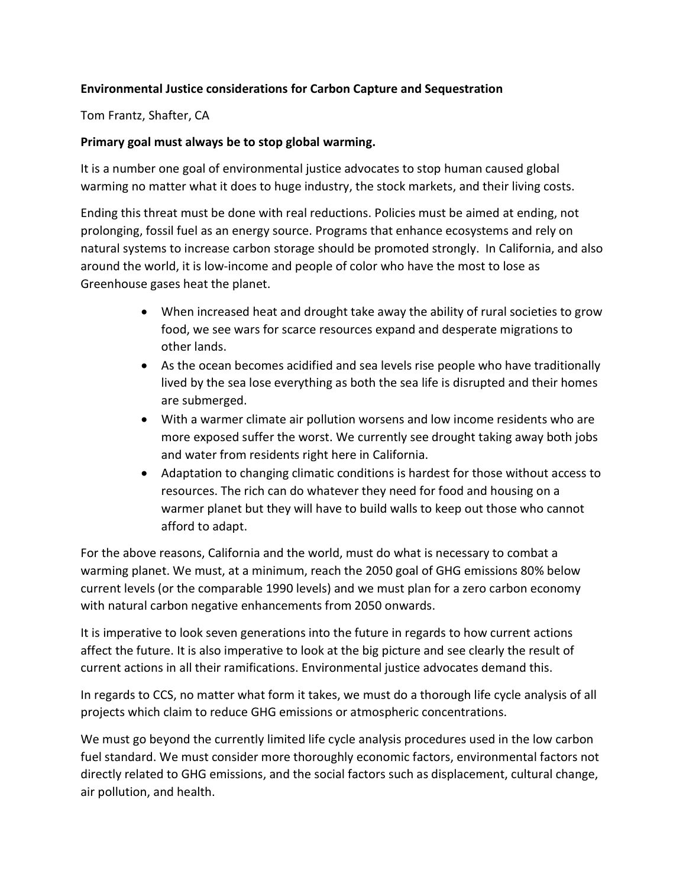### Environmental Justice considerations for Carbon Capture and Sequestration

Tom Frantz, Shafter, CA

#### Primary goal must always be to stop global warming.

It is a number one goal of environmental justice advocates to stop human caused global warming no matter what it does to huge industry, the stock markets, and their living costs.

Ending this threat must be done with real reductions. Policies must be aimed at ending, not prolonging, fossil fuel as an energy source. Programs that enhance ecosystems and rely on natural systems to increase carbon storage should be promoted strongly. In California, and also around the world, it is low-income and people of color who have the most to lose as Greenhouse gases heat the planet.

- When increased heat and drought take away the ability of rural societies to grow food, we see wars for scarce resources expand and desperate migrations to other lands.
- As the ocean becomes acidified and sea levels rise people who have traditionally lived by the sea lose everything as both the sea life is disrupted and their homes are submerged.
- With a warmer climate air pollution worsens and low income residents who are more exposed suffer the worst. We currently see drought taking away both jobs and water from residents right here in California.
- Adaptation to changing climatic conditions is hardest for those without access to resources. The rich can do whatever they need for food and housing on a warmer planet but they will have to build walls to keep out those who cannot afford to adapt.

For the above reasons, California and the world, must do what is necessary to combat a warming planet. We must, at a minimum, reach the 2050 goal of GHG emissions 80% below current levels (or the comparable 1990 levels) and we must plan for a zero carbon economy with natural carbon negative enhancements from 2050 onwards.

It is imperative to look seven generations into the future in regards to how current actions affect the future. It is also imperative to look at the big picture and see clearly the result of current actions in all their ramifications. Environmental justice advocates demand this.

In regards to CCS, no matter what form it takes, we must do a thorough life cycle analysis of all projects which claim to reduce GHG emissions or atmospheric concentrations.

We must go beyond the currently limited life cycle analysis procedures used in the low carbon fuel standard. We must consider more thoroughly economic factors, environmental factors not directly related to GHG emissions, and the social factors such as displacement, cultural change, air pollution, and health.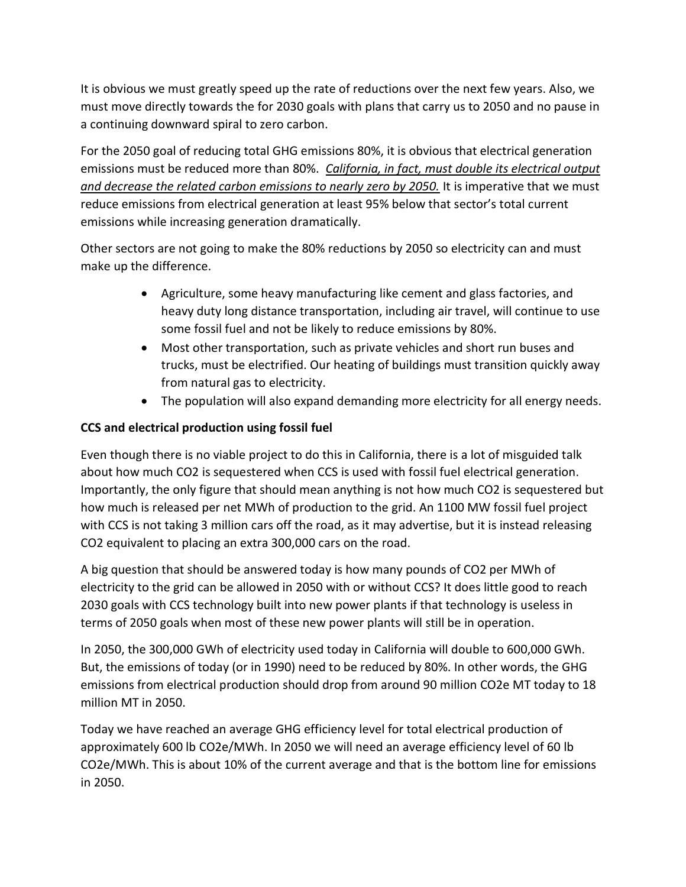It is obvious we must greatly speed up the rate of reductions over the next few years. Also, we must move directly towards the for 2030 goals with plans that carry us to 2050 and no pause in a continuing downward spiral to zero carbon.

For the 2050 goal of reducing total GHG emissions 80%, it is obvious that electrical generation emissions must be reduced more than 80%. California, in fact, must double its electrical output and decrease the related carbon emissions to nearly zero by 2050. It is imperative that we must reduce emissions from electrical generation at least 95% below that sector's total current emissions while increasing generation dramatically.

Other sectors are not going to make the 80% reductions by 2050 so electricity can and must make up the difference.

- Agriculture, some heavy manufacturing like cement and glass factories, and heavy duty long distance transportation, including air travel, will continue to use some fossil fuel and not be likely to reduce emissions by 80%.
- Most other transportation, such as private vehicles and short run buses and trucks, must be electrified. Our heating of buildings must transition quickly away from natural gas to electricity.
- The population will also expand demanding more electricity for all energy needs.

# CCS and electrical production using fossil fuel

Even though there is no viable project to do this in California, there is a lot of misguided talk about how much CO2 is sequestered when CCS is used with fossil fuel electrical generation. Importantly, the only figure that should mean anything is not how much CO2 is sequestered but how much is released per net MWh of production to the grid. An 1100 MW fossil fuel project with CCS is not taking 3 million cars off the road, as it may advertise, but it is instead releasing CO2 equivalent to placing an extra 300,000 cars on the road.

A big question that should be answered today is how many pounds of CO2 per MWh of electricity to the grid can be allowed in 2050 with or without CCS? It does little good to reach 2030 goals with CCS technology built into new power plants if that technology is useless in terms of 2050 goals when most of these new power plants will still be in operation.

In 2050, the 300,000 GWh of electricity used today in California will double to 600,000 GWh. But, the emissions of today (or in 1990) need to be reduced by 80%. In other words, the GHG emissions from electrical production should drop from around 90 million CO2e MT today to 18 million MT in 2050.

Today we have reached an average GHG efficiency level for total electrical production of approximately 600 lb CO2e/MWh. In 2050 we will need an average efficiency level of 60 lb CO2e/MWh. This is about 10% of the current average and that is the bottom line for emissions in 2050.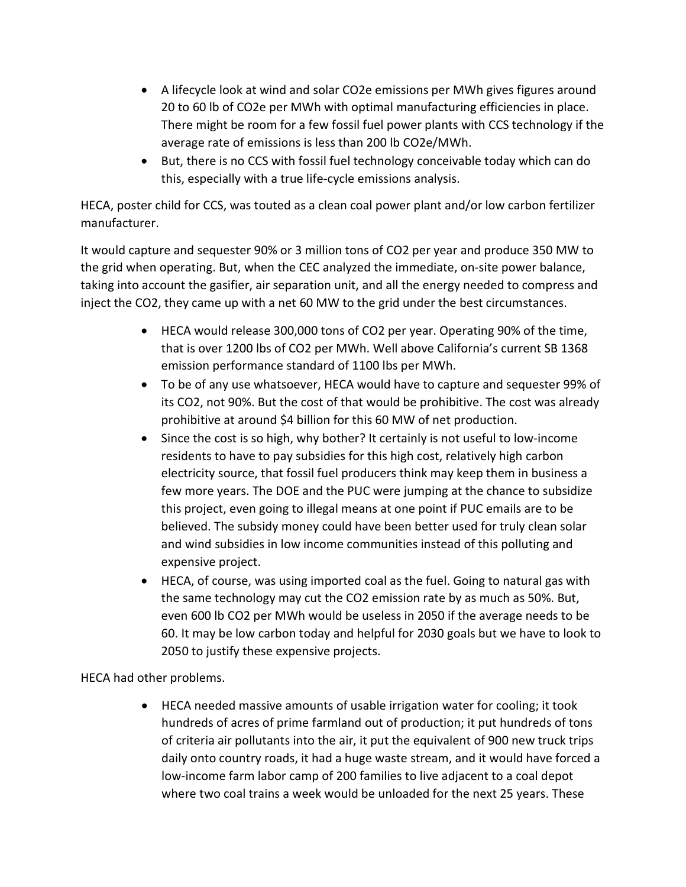- A lifecycle look at wind and solar CO2e emissions per MWh gives figures around 20 to 60 lb of CO2e per MWh with optimal manufacturing efficiencies in place. There might be room for a few fossil fuel power plants with CCS technology if the average rate of emissions is less than 200 lb CO2e/MWh.
- But, there is no CCS with fossil fuel technology conceivable today which can do this, especially with a true life-cycle emissions analysis.

HECA, poster child for CCS, was touted as a clean coal power plant and/or low carbon fertilizer manufacturer.

It would capture and sequester 90% or 3 million tons of CO2 per year and produce 350 MW to the grid when operating. But, when the CEC analyzed the immediate, on-site power balance, taking into account the gasifier, air separation unit, and all the energy needed to compress and inject the CO2, they came up with a net 60 MW to the grid under the best circumstances.

- HECA would release 300,000 tons of CO2 per year. Operating 90% of the time, that is over 1200 lbs of CO2 per MWh. Well above California's current SB 1368 emission performance standard of 1100 lbs per MWh.
- To be of any use whatsoever, HECA would have to capture and sequester 99% of its CO2, not 90%. But the cost of that would be prohibitive. The cost was already prohibitive at around \$4 billion for this 60 MW of net production.
- Since the cost is so high, why bother? It certainly is not useful to low-income residents to have to pay subsidies for this high cost, relatively high carbon electricity source, that fossil fuel producers think may keep them in business a few more years. The DOE and the PUC were jumping at the chance to subsidize this project, even going to illegal means at one point if PUC emails are to be believed. The subsidy money could have been better used for truly clean solar and wind subsidies in low income communities instead of this polluting and expensive project.
- HECA, of course, was using imported coal as the fuel. Going to natural gas with the same technology may cut the CO2 emission rate by as much as 50%. But, even 600 lb CO2 per MWh would be useless in 2050 if the average needs to be 60. It may be low carbon today and helpful for 2030 goals but we have to look to 2050 to justify these expensive projects.

HECA had other problems.

 HECA needed massive amounts of usable irrigation water for cooling; it took hundreds of acres of prime farmland out of production; it put hundreds of tons of criteria air pollutants into the air, it put the equivalent of 900 new truck trips daily onto country roads, it had a huge waste stream, and it would have forced a low-income farm labor camp of 200 families to live adjacent to a coal depot where two coal trains a week would be unloaded for the next 25 years. These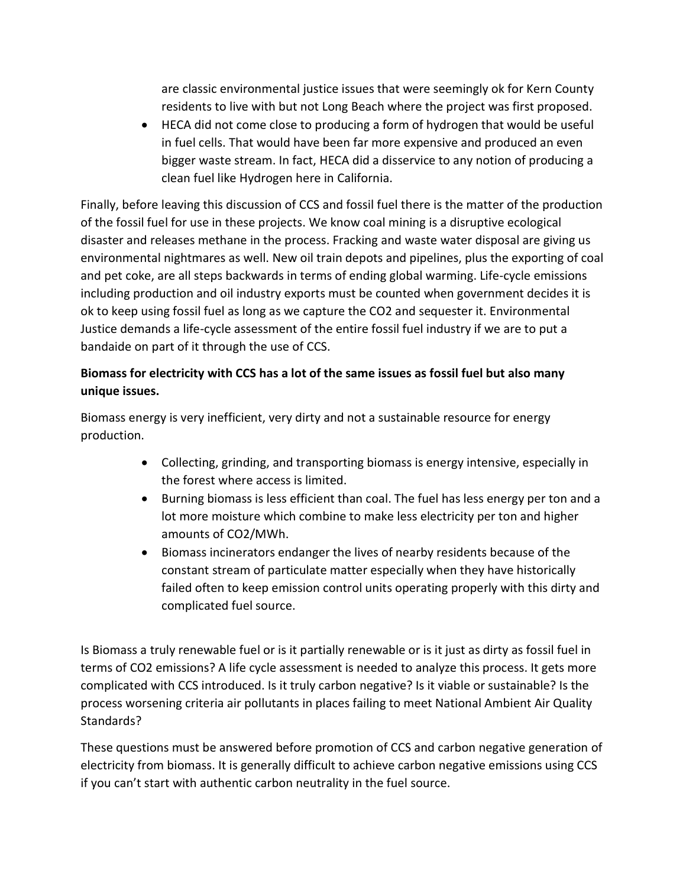are classic environmental justice issues that were seemingly ok for Kern County residents to live with but not Long Beach where the project was first proposed.

 HECA did not come close to producing a form of hydrogen that would be useful in fuel cells. That would have been far more expensive and produced an even bigger waste stream. In fact, HECA did a disservice to any notion of producing a clean fuel like Hydrogen here in California.

Finally, before leaving this discussion of CCS and fossil fuel there is the matter of the production of the fossil fuel for use in these projects. We know coal mining is a disruptive ecological disaster and releases methane in the process. Fracking and waste water disposal are giving us environmental nightmares as well. New oil train depots and pipelines, plus the exporting of coal and pet coke, are all steps backwards in terms of ending global warming. Life-cycle emissions including production and oil industry exports must be counted when government decides it is ok to keep using fossil fuel as long as we capture the CO2 and sequester it. Environmental Justice demands a life-cycle assessment of the entire fossil fuel industry if we are to put a bandaide on part of it through the use of CCS.

# Biomass for electricity with CCS has a lot of the same issues as fossil fuel but also many unique issues.

Biomass energy is very inefficient, very dirty and not a sustainable resource for energy production.

- Collecting, grinding, and transporting biomass is energy intensive, especially in the forest where access is limited.
- Burning biomass is less efficient than coal. The fuel has less energy per ton and a lot more moisture which combine to make less electricity per ton and higher amounts of CO2/MWh.
- Biomass incinerators endanger the lives of nearby residents because of the constant stream of particulate matter especially when they have historically failed often to keep emission control units operating properly with this dirty and complicated fuel source.

Is Biomass a truly renewable fuel or is it partially renewable or is it just as dirty as fossil fuel in terms of CO2 emissions? A life cycle assessment is needed to analyze this process. It gets more complicated with CCS introduced. Is it truly carbon negative? Is it viable or sustainable? Is the process worsening criteria air pollutants in places failing to meet National Ambient Air Quality Standards?

These questions must be answered before promotion of CCS and carbon negative generation of electricity from biomass. It is generally difficult to achieve carbon negative emissions using CCS if you can't start with authentic carbon neutrality in the fuel source.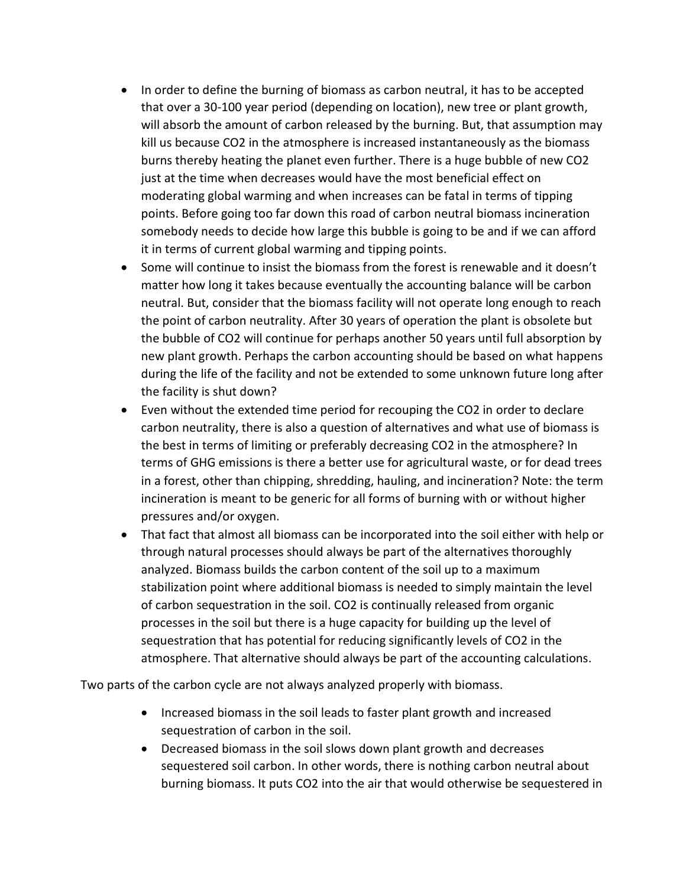- In order to define the burning of biomass as carbon neutral, it has to be accepted that over a 30-100 year period (depending on location), new tree or plant growth, will absorb the amount of carbon released by the burning. But, that assumption may kill us because CO2 in the atmosphere is increased instantaneously as the biomass burns thereby heating the planet even further. There is a huge bubble of new CO2 just at the time when decreases would have the most beneficial effect on moderating global warming and when increases can be fatal in terms of tipping points. Before going too far down this road of carbon neutral biomass incineration somebody needs to decide how large this bubble is going to be and if we can afford it in terms of current global warming and tipping points.
- Some will continue to insist the biomass from the forest is renewable and it doesn't matter how long it takes because eventually the accounting balance will be carbon neutral. But, consider that the biomass facility will not operate long enough to reach the point of carbon neutrality. After 30 years of operation the plant is obsolete but the bubble of CO2 will continue for perhaps another 50 years until full absorption by new plant growth. Perhaps the carbon accounting should be based on what happens during the life of the facility and not be extended to some unknown future long after the facility is shut down?
- Even without the extended time period for recouping the CO2 in order to declare carbon neutrality, there is also a question of alternatives and what use of biomass is the best in terms of limiting or preferably decreasing CO2 in the atmosphere? In terms of GHG emissions is there a better use for agricultural waste, or for dead trees in a forest, other than chipping, shredding, hauling, and incineration? Note: the term incineration is meant to be generic for all forms of burning with or without higher pressures and/or oxygen.
- That fact that almost all biomass can be incorporated into the soil either with help or through natural processes should always be part of the alternatives thoroughly analyzed. Biomass builds the carbon content of the soil up to a maximum stabilization point where additional biomass is needed to simply maintain the level of carbon sequestration in the soil. CO2 is continually released from organic processes in the soil but there is a huge capacity for building up the level of sequestration that has potential for reducing significantly levels of CO2 in the atmosphere. That alternative should always be part of the accounting calculations.

Two parts of the carbon cycle are not always analyzed properly with biomass.

- Increased biomass in the soil leads to faster plant growth and increased sequestration of carbon in the soil.
- Decreased biomass in the soil slows down plant growth and decreases sequestered soil carbon. In other words, there is nothing carbon neutral about burning biomass. It puts CO2 into the air that would otherwise be sequestered in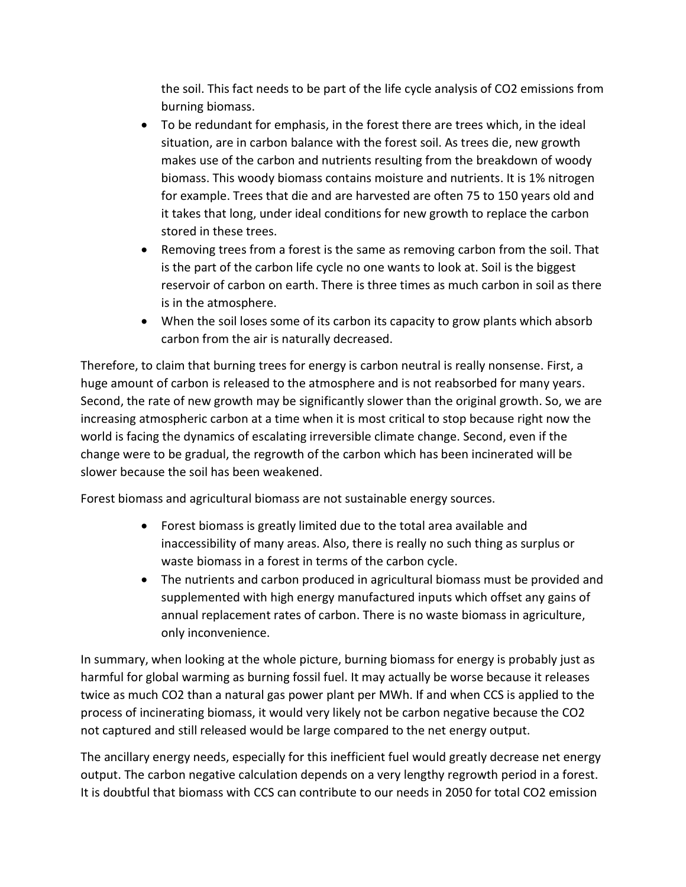the soil. This fact needs to be part of the life cycle analysis of CO2 emissions from burning biomass.

- To be redundant for emphasis, in the forest there are trees which, in the ideal situation, are in carbon balance with the forest soil. As trees die, new growth makes use of the carbon and nutrients resulting from the breakdown of woody biomass. This woody biomass contains moisture and nutrients. It is 1% nitrogen for example. Trees that die and are harvested are often 75 to 150 years old and it takes that long, under ideal conditions for new growth to replace the carbon stored in these trees.
- Removing trees from a forest is the same as removing carbon from the soil. That is the part of the carbon life cycle no one wants to look at. Soil is the biggest reservoir of carbon on earth. There is three times as much carbon in soil as there is in the atmosphere.
- When the soil loses some of its carbon its capacity to grow plants which absorb carbon from the air is naturally decreased.

Therefore, to claim that burning trees for energy is carbon neutral is really nonsense. First, a huge amount of carbon is released to the atmosphere and is not reabsorbed for many years. Second, the rate of new growth may be significantly slower than the original growth. So, we are increasing atmospheric carbon at a time when it is most critical to stop because right now the world is facing the dynamics of escalating irreversible climate change. Second, even if the change were to be gradual, the regrowth of the carbon which has been incinerated will be slower because the soil has been weakened.

Forest biomass and agricultural biomass are not sustainable energy sources.

- Forest biomass is greatly limited due to the total area available and inaccessibility of many areas. Also, there is really no such thing as surplus or waste biomass in a forest in terms of the carbon cycle.
- The nutrients and carbon produced in agricultural biomass must be provided and supplemented with high energy manufactured inputs which offset any gains of annual replacement rates of carbon. There is no waste biomass in agriculture, only inconvenience.

In summary, when looking at the whole picture, burning biomass for energy is probably just as harmful for global warming as burning fossil fuel. It may actually be worse because it releases twice as much CO2 than a natural gas power plant per MWh. If and when CCS is applied to the process of incinerating biomass, it would very likely not be carbon negative because the CO2 not captured and still released would be large compared to the net energy output.

The ancillary energy needs, especially for this inefficient fuel would greatly decrease net energy output. The carbon negative calculation depends on a very lengthy regrowth period in a forest. It is doubtful that biomass with CCS can contribute to our needs in 2050 for total CO2 emission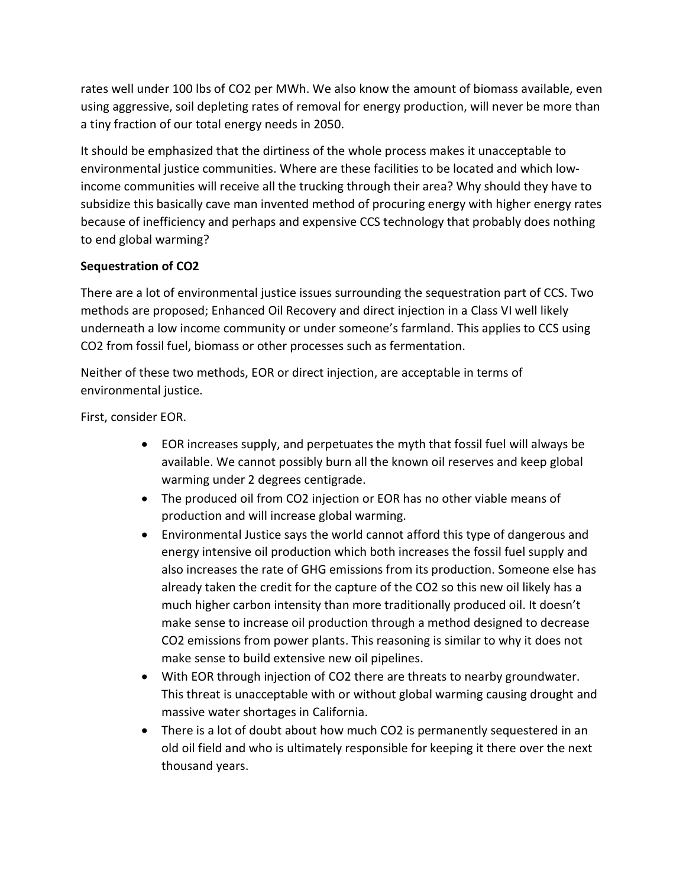rates well under 100 lbs of CO2 per MWh. We also know the amount of biomass available, even using aggressive, soil depleting rates of removal for energy production, will never be more than a tiny fraction of our total energy needs in 2050.

It should be emphasized that the dirtiness of the whole process makes it unacceptable to environmental justice communities. Where are these facilities to be located and which lowincome communities will receive all the trucking through their area? Why should they have to subsidize this basically cave man invented method of procuring energy with higher energy rates because of inefficiency and perhaps and expensive CCS technology that probably does nothing to end global warming?

### Sequestration of CO2

There are a lot of environmental justice issues surrounding the sequestration part of CCS. Two methods are proposed; Enhanced Oil Recovery and direct injection in a Class VI well likely underneath a low income community or under someone's farmland. This applies to CCS using CO2 from fossil fuel, biomass or other processes such as fermentation.

Neither of these two methods, EOR or direct injection, are acceptable in terms of environmental justice.

First, consider EOR.

- EOR increases supply, and perpetuates the myth that fossil fuel will always be available. We cannot possibly burn all the known oil reserves and keep global warming under 2 degrees centigrade.
- The produced oil from CO2 injection or EOR has no other viable means of production and will increase global warming.
- Environmental Justice says the world cannot afford this type of dangerous and energy intensive oil production which both increases the fossil fuel supply and also increases the rate of GHG emissions from its production. Someone else has already taken the credit for the capture of the CO2 so this new oil likely has a much higher carbon intensity than more traditionally produced oil. It doesn't make sense to increase oil production through a method designed to decrease CO2 emissions from power plants. This reasoning is similar to why it does not make sense to build extensive new oil pipelines.
- With EOR through injection of CO2 there are threats to nearby groundwater. This threat is unacceptable with or without global warming causing drought and massive water shortages in California.
- There is a lot of doubt about how much CO2 is permanently sequestered in an old oil field and who is ultimately responsible for keeping it there over the next thousand years.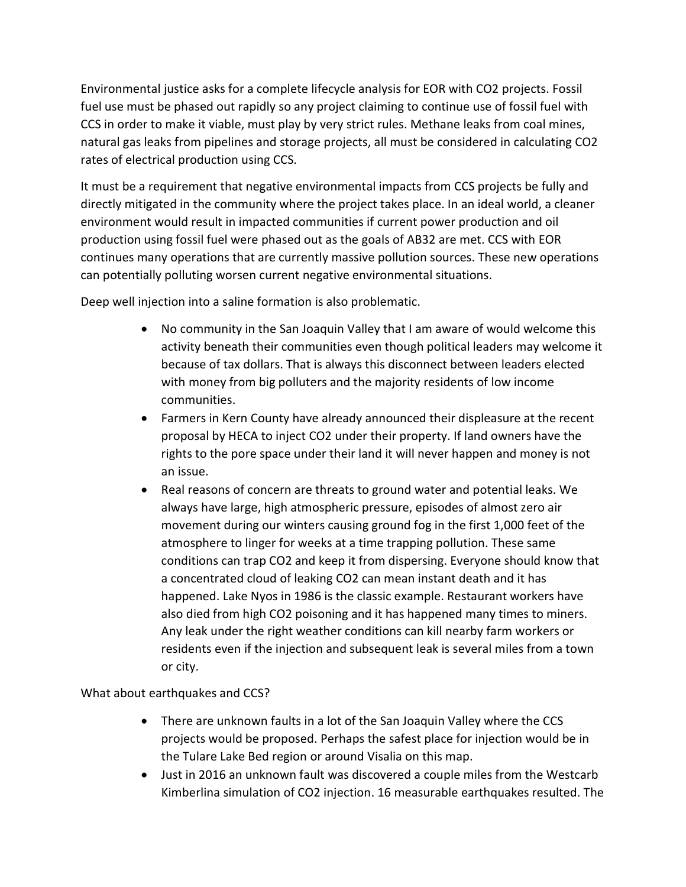Environmental justice asks for a complete lifecycle analysis for EOR with CO2 projects. Fossil fuel use must be phased out rapidly so any project claiming to continue use of fossil fuel with CCS in order to make it viable, must play by very strict rules. Methane leaks from coal mines, natural gas leaks from pipelines and storage projects, all must be considered in calculating CO2 rates of electrical production using CCS.

It must be a requirement that negative environmental impacts from CCS projects be fully and directly mitigated in the community where the project takes place. In an ideal world, a cleaner environment would result in impacted communities if current power production and oil production using fossil fuel were phased out as the goals of AB32 are met. CCS with EOR continues many operations that are currently massive pollution sources. These new operations can potentially polluting worsen current negative environmental situations.

Deep well injection into a saline formation is also problematic.

- No community in the San Joaquin Valley that I am aware of would welcome this activity beneath their communities even though political leaders may welcome it because of tax dollars. That is always this disconnect between leaders elected with money from big polluters and the majority residents of low income communities.
- Farmers in Kern County have already announced their displeasure at the recent proposal by HECA to inject CO2 under their property. If land owners have the rights to the pore space under their land it will never happen and money is not an issue.
- Real reasons of concern are threats to ground water and potential leaks. We always have large, high atmospheric pressure, episodes of almost zero air movement during our winters causing ground fog in the first 1,000 feet of the atmosphere to linger for weeks at a time trapping pollution. These same conditions can trap CO2 and keep it from dispersing. Everyone should know that a concentrated cloud of leaking CO2 can mean instant death and it has happened. Lake Nyos in 1986 is the classic example. Restaurant workers have also died from high CO2 poisoning and it has happened many times to miners. Any leak under the right weather conditions can kill nearby farm workers or residents even if the injection and subsequent leak is several miles from a town or city.

### What about earthquakes and CCS?

- There are unknown faults in a lot of the San Joaquin Valley where the CCS projects would be proposed. Perhaps the safest place for injection would be in the Tulare Lake Bed region or around Visalia on this map.
- Just in 2016 an unknown fault was discovered a couple miles from the Westcarb Kimberlina simulation of CO2 injection. 16 measurable earthquakes resulted. The